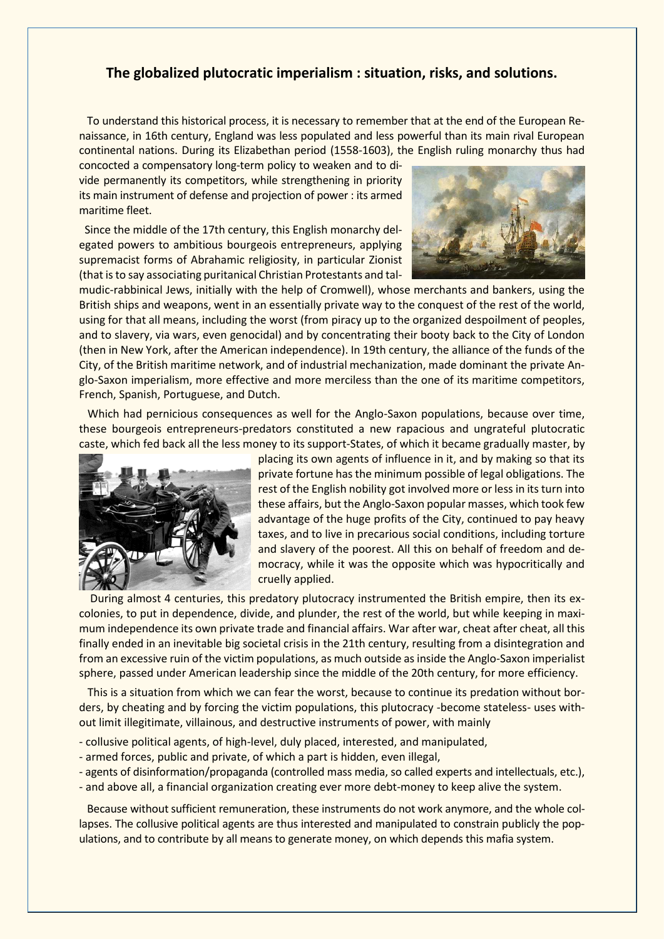## **The globalized plutocratic imperialism : situation, risks, and solutions.**

 To understand this historical process, it is necessary to remember that at the end of the European Renaissance, in 16th century, England was less populated and less powerful than its main rival European continental nations. During its Elizabethan period (1558-1603), the English ruling monarchy thus had

concocted a compensatory long-term policy to weaken and to divide permanently its competitors, while strengthening in priority its main instrument of defense and projection of power : its armed maritime fleet.

 Since the middle of the 17th century, this English monarchy delegated powers to ambitious bourgeois entrepreneurs, applying supremacist forms of Abrahamic religiosity, in particular Zionist (that is to say associating puritanical Christian Protestants and tal-



mudic-rabbinical Jews, initially with the help of Cromwell), whose merchants and bankers, using the British ships and weapons, went in an essentially private way to the conquest of the rest of the world, using for that all means, including the worst (from piracy up to the organized despoilment of peoples, and to slavery, via wars, even genocidal) and by concentrating their booty back to the City of London (then in New York, after the American independence). In 19th century, the alliance of the funds of the City, of the British maritime network, and of industrial mechanization, made dominant the private Anglo-Saxon imperialism, more effective and more merciless than the one of its maritime competitors, French, Spanish, Portuguese, and Dutch.

 Which had pernicious consequences as well for the Anglo-Saxon populations, because over time, these bourgeois entrepreneurs-predators constituted a new rapacious and ungrateful plutocratic caste, which fed back all the less money to its support-States, of which it became gradually master, by



placing its own agents of influence in it, and by making so that its private fortune has the minimum possible of legal obligations. The rest of the English nobility got involved more or less in its turn into these affairs, but the Anglo-Saxon popular masses, which took few advantage of the huge profits of the City, continued to pay heavy taxes, and to live in precarious social conditions, including torture and slavery of the poorest. All this on behalf of freedom and democracy, while it was the opposite which was hypocritically and cruelly applied.

 During almost 4 centuries, this predatory plutocracy instrumented the British empire, then its excolonies, to put in dependence, divide, and plunder, the rest of the world, but while keeping in maximum independence its own private trade and financial affairs. War after war, cheat after cheat, all this finally ended in an inevitable big societal crisis in the 21th century, resulting from a disintegration and from an excessive ruin of the victim populations, as much outside as inside the Anglo-Saxon imperialist sphere, passed under American leadership since the middle of the 20th century, for more efficiency.

 This is a situation from which we can fear the worst, because to continue its predation without borders, by cheating and by forcing the victim populations, this plutocracy -become stateless- uses without limit illegitimate, villainous, and destructive instruments of power, with mainly

- collusive political agents, of high-level, duly placed, interested, and manipulated,
- armed forces, public and private, of which a part is hidden, even illegal,
- agents of disinformation/propaganda (controlled mass media, so called experts and intellectuals, etc.),
- and above all, a financial organization creating ever more debt-money to keep alive the system.

 Because without sufficient remuneration, these instruments do not work anymore, and the whole collapses. The collusive political agents are thus interested and manipulated to constrain publicly the populations, and to contribute by all means to generate money, on which depends this mafia system.